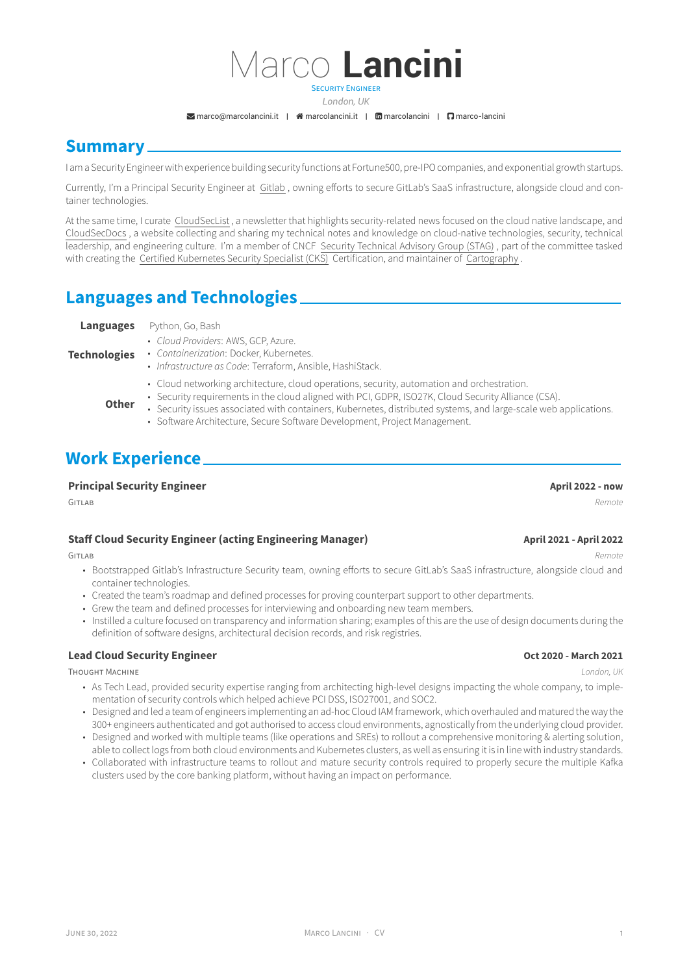# Marco **Lancini** SECURITY ENGINEER

*London, UK*

 $\blacktriangleright$  marco@marcolancini.it |  $\blacktriangleleft$  marcolancini.it |  $\boxdot$  marcolancini |  $\Box$  marco-lancini

# **Summary**

I am a Security Engineer with [experience building sec](mailto:marco@marcolancini.it)urit[y functions at Fo](http://marcolancini.it)rtu[ne500, pre-IPO](https://www.linkedin.com/in/marcolancini) co[mpanies, and e](https://github.com/marco-lancini)xponential growth startups.

Currently, I'm a Principal Security Engineer at Gitlab , owning efforts to secure GitLab's SaaS infrastructure, alongside cloud and container technologies.

At the same time, I curate CloudSecList , a newsletter that highlights security-related news focused on the cloud native landscape, and CloudSecDocs , a website collecting and sharing my technical notes and knowledge on cloud-native technologies, security, technical leadership, and engineering culture. I'm a me[mber o](https://gitlab.com/)f CNCF Security Technical Advisory Group (STAG) , part of the committee tasked with creating the Certified Kubernetes Security Specialist (CKS) Certification, and maintainer of Cartography .

# **[Languag](https://cloudsecdocs.com/)es and Technologies**

# **Technologies**

- **Languages** [Python, Go, Bash](https://training.linuxfoundation.org/certification/certified-kubernetes-security-specialist/)
	- *Cloud Providers*: AWS, GCP, Azure. • *Containerization*: Docker, Kubernetes.
	- *Infrastructure as Code*: Terraform, Ansible, HashiStack.
	- Cloud networking architecture, cloud operations, security, automation and orchestration.
	- Security requirements in the cloud aligned with PCI, GDPR, ISO27K, Cloud Security Alliance (CSA).
	- **Other** • Security issues associated with containers, Kubernetes, distributed systems, and large-scale web applications.
		- Software Architecture, Secure Software Development, Project Management.

# **Work Experience**

### **Principal Security Engineer April 2022 - now**

#### GITLAB *Remote*

### **Staff Cloud Security Engineer (acting Engineering Manager) April 2021 - April 2022**

- Bootstrapped Gitlab's Infrastructure Security team, owning efforts to secure GitLab's SaaS infrastructure, alongside cloud and container technologies.
- Created the team's roadmap and defined processes for proving counterpart support to other departments.
- Grew the team and defined processes for interviewing and onboarding new team members.
- Instilled a culture focused on transparency and information sharing; examples of this are the use of design documents during the definition of software designs, architectural decision records, and risk registries.

### **Lead Cloud Security Engineer Oct 2020 - March 2021**

#### THOUGHT MACHINE *London, UK*

- As Tech Lead, provided security expertise ranging from architecting high-level designs impacting the whole company, to implementation of security controls which helped achieve PCI DSS, ISO27001, and SOC2.
- Designed and led a team of engineers implementing an ad-hoc Cloud IAM framework, which overhauled and matured the way the 300+ engineers authenticated and got authorised to access cloud environments, agnostically from the underlying cloud provider.
- Designed and worked with multiple teams (like operations and SREs) to rollout a comprehensive monitoring & alerting solution, able to collect logs from both cloud environments and Kubernetes clusters, as well as ensuring it is in line with industry standards.
- Collaborated with infrastructure teams to rollout and mature security controls required to properly secure the multiple Kafka clusters used by the core banking platform, without having an impact on performance.

GITLAB *Remote*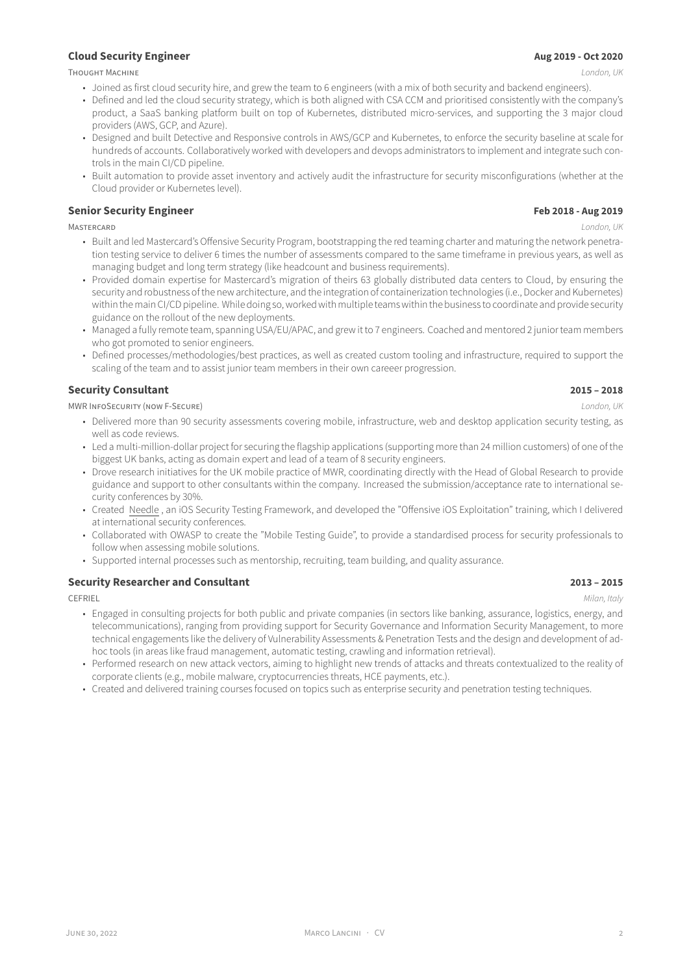THOUGHT MACHINE *London, UK*

- Joined as first cloud security hire, and grew the team to 6 engineers (with a mix of both security and backend engineers).
- Defined and led the cloud security strategy, which is both aligned with CSA CCM and prioritised consistently with the company's product, a SaaS banking platform built on top of Kubernetes, distributed micro-services, and supporting the 3 major cloud providers (AWS, GCP, and Azure).
- Designed and built Detective and Responsive controls in AWS/GCP and Kubernetes, to enforce the security baseline at scale for hundreds of accounts. Collaboratively worked with developers and devops administrators to implement and integrate such controls in the main CI/CD pipeline.
- Built automation to provide asset inventory and actively audit the infrastructure for security misconfigurations (whether at the Cloud provider or Kubernetes level).

### **Senior Security Engineer Feb 2018 - Aug 2019**

MASTERCARD *London, UK*

- Built and led Mastercard's Offensive Security Program, bootstrapping the red teaming charter and maturing the network penetration testing service to deliver 6 times the number of assessments compared to the same timeframe in previous years, as well as managing budget and long term strategy (like headcount and business requirements).
- Provided domain expertise for Mastercard's migration of theirs 63 globally distributed data centers to Cloud, by ensuring the security and robustness of the new architecture, and the integration of containerization technologies (i.e., Docker and Kubernetes) within the main CI/CD pipeline. While doing so, worked with multiple teams within the business to coordinate and provide security guidance on the rollout of the new deployments.
- Managed a fully remote team, spanning USA/EU/APAC, and grew it to 7 engineers. Coached and mentored 2 junior team members who got promoted to senior engineers.
- Defined processes/methodologies/best practices, as well as created custom tooling and infrastructure, required to support the scaling of the team and to assist junior team members in their own careeer progression.

### **Security Consultant 2015 – 2018**

MWR INFOSECURITY (NOW F-SECURE) *London, UK*

- Delivered more than 90 security assessments covering mobile, infrastructure, web and desktop application security testing, as well as code reviews.
- Led a multi-million-dollar project for securing the flagship applications (supporting more than 24 million customers) of one of the biggest UK banks, acting as domain expert and lead of a team of 8 security engineers.
- Drove research initiatives for the UK mobile practice of MWR, coordinating directly with the Head of Global Research to provide guidance and support to other consultants within the company. Increased the submission/acceptance rate to international security conferences by 30%.
- Created Needle , an iOS Security Testing Framework, and developed the "Offensive iOS Exploitation" training, which I delivered at international security conferences.
- Collaborated with OWASP to create the "Mobile Testing Guide", to provide a standardised process for security professionals to follow when assessing mobile solutions.
- Support[ed intern](https://labs.f-secure.com/tools/needle/)al processes such as mentorship, recruiting, team building, and quality assurance.

### **Security Researcher and Consultant 2013 – 2015**

- Engaged in consulting projects for both public and private companies (in sectors like banking, assurance, logistics, energy, and telecommunications), ranging from providing support for Security Governance and Information Security Management, to more technical engagements like the delivery of Vulnerability Assessments & Penetration Tests and the design and development of adhoc tools (in areas like fraud management, automatic testing, crawling and information retrieval).
- Performed research on new attack vectors, aiming to highlight new trends of attacks and threats contextualized to the reality of corporate clients (e.g., mobile malware, cryptocurrencies threats, HCE payments, etc.).
- Created and delivered training courses focused on topics such as enterprise security and penetration testing techniques.

CEFRIEL *Milan, Italy*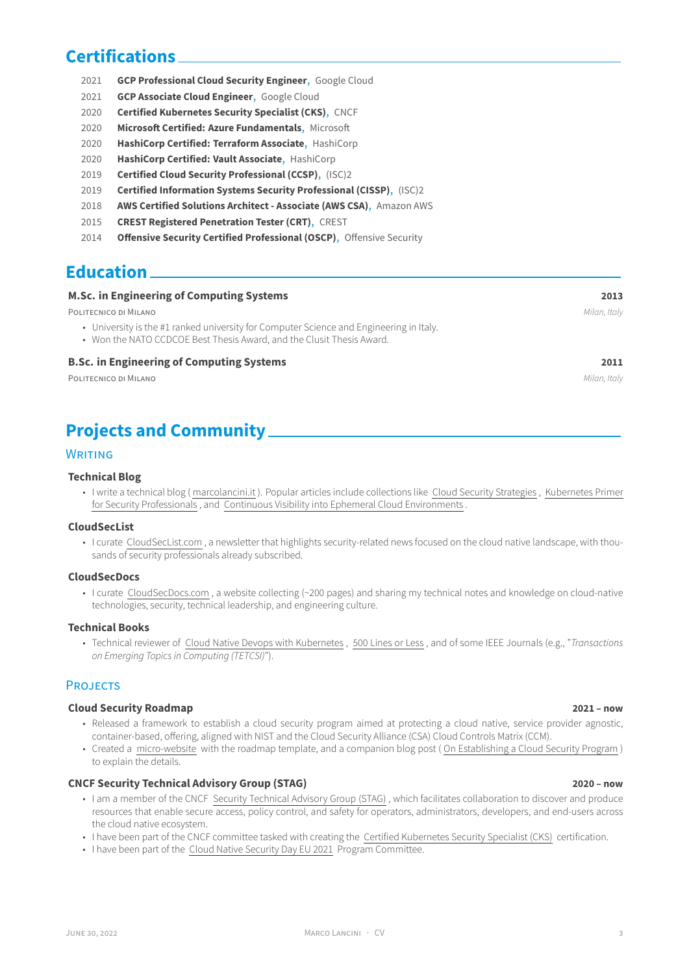## **Certifications**

- 2021 **GCP Professional Cloud Security Engineer**, Google Cloud
- 2021 **GCP Associate Cloud Engineer**, Google Cloud
- 2020 **Certified Kubernetes Security Specialist (CKS)**, CNCF
- 2020 **Microsoft Certified: Azure Fundamentals**, Microsoft
- 2020 **[HashiCorp Certified: Terraform Associate](https://www.credential.net/3a75d99c-a92e-4d80-b376-d9c561b46846)**, HashiCorp
- 2020 **[HashiCorp Certified: Vault Ass](https://www.credential.net/3ecf1597-ba30-4d3d-9403-b23d1de14548)ociate**, HashiCorp
- 2019 **[Certified Cloud Security Professional \(CCSP\)](https://www.credly.com/badges/ac592c8b-905b-4cfa-845a-cca49030084a/public_url)**, (ISC)2
- 2019 **[Certified Information Systems Security P](https://www.credly.com/badges/e4728ce8-b228-443a-b1a3-e0abd6f93d09/public_url)rofessional (CISSP)**, (ISC)2
- 2018 **[AWS Certified Solutions Architect Associ](https://www.credly.com/badges/2b646b25-ea73-436b-abfd-35b2a602741f/public_url)ate (AWS CSA)**, Amazon AWS
- 2015 **[CREST Registered Penetration Tester](https://www.credly.com/badges/2e06805e-69ca-43bc-92f3-706dd51b238c/public_url) (CRT)**, CREST
- 2014 **[Offensive Security Certified Professional \(OS](https://www.credly.com/badges/df6e81a4-685e-4d34-b763-4c1db2194645/public_url)[CP\)](https://www.credly.com/badges/2896d982-5049-407a-b38b-f1a9694f0031/public_url)**, Offensive Security

# **Educa[tion](http://www.crest-approved.org/)**

| <b>M.Sc. in Engineering of Computing Systems</b>                                                                                                                 | 2013         |
|------------------------------------------------------------------------------------------------------------------------------------------------------------------|--------------|
| POLITECNICO DI MILANO                                                                                                                                            | Milan, Italy |
| • University is the #1 ranked university for Computer Science and Engineering in Italy.<br>• Won the NATO CCDCOE Best Thesis Award, and the Clusit Thesis Award. |              |
| <b>B.Sc. in Engineering of Computing Systems</b>                                                                                                                 | 2011         |
| POLITECNICO DI MILANO                                                                                                                                            | Milan, Italy |
|                                                                                                                                                                  |              |

# **Projects and Community**

### WRITING

### **Technical Blog**

• I write a technical blog ( marcolancini.it ). Popular articles include collections like Cloud Security Strategies , Kubernetes Primer for Security Professionals , and Continuous Visibility into Ephemeral Cloud Environments .

### **[CloudSecList](https://blog.marcolancini.it/)**

• I curate CloudSecList.com , a newsletter that highlights security-related news foc[used on the cloud native la](https://blog.marcolancini.it/cloud-security-strategies/)[ndscape, with thou](https://blog.marcolancini.it/kubernetes-primer/)[sands of security profess](https://blog.marcolancini.it/kubernetes-primer/)[ionals already](https://blog.marcolancini.it/) [subscribed.](https://blog.marcolancini.it/continuous-cloud-visibility/)

### **[CloudSecDoc](https://cloudseclist.com)s**

• I curate CloudSecDocs.com , a website collecting (~200 pages) and sharing my technical notes and knowledge on cloud-native technol[ogies, security, tech](https://cloudseclist.com)nical leadership, and engineering culture.

### **[Technical Book](https://cloudsecdocs.com/)s**

• Technical reviewer of Cloud Native Devops with Kubernetes , 500 Lines or Less , and of some IEEE Journals (e.g., "*Transactions on Emer[ging Topics in Compu](https://cloudsecdocs.com/)ting (TETCSI)*").

### **PROJECTS**

#### **Cloud Security Roadm[ap](https://www.amazon.co.uk/gp/product/1492040762) 2021 – now**

- Released a framework to establish a cloud security program aimed at protecting a cloud native, service provider agnostic, container-based, offering, aligned with NIST and the Cloud Security Alliance (CSA) Cloud Controls Matrix (CCM).
- Created a micro-website with the roadmap template, and a companion blog post ( On Establishing a Cloud Security Program ) [to explain the details.](https://roadmap.cloudsecdocs.com/)

### **CNCF Security Technical Advisory Group (STAG) 2020 – now**

- I am a member of the CNCF Security Technical Advisory Group (STAG) , which facilitates collaboration to discover and produce resources [that enable sec](https://roadmap.cloudsecdocs.com/)ure access, policy control, and safety for operators, admi[nistrators, developers, and end-users acros](https://blog.marcolancini.it/2021/blog-cloud-security-roadmap/)s the cloud native ecosystem.
- [I have been part of the CNCF committee tasked with](https://github.com/cncf/tag-security) creating the Certified Kubernetes Security Specialist (CKS) certification.
- I have been part of the Cloud Native Security Day EU 2021 [Program Co](https://github.com/cncf/tag-security)mmittee.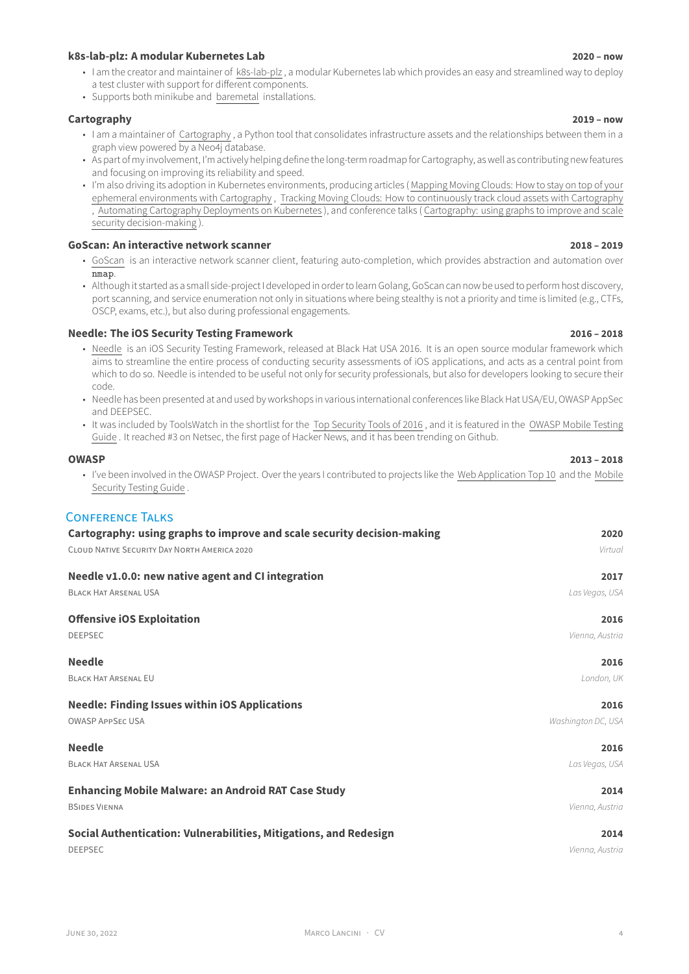#### **k8s-lab-plz: A modular Kubernetes Lab 2020 – now**

- I am the creator and maintainer of k8s-lab-plz , a modular Kubernetes lab which provides an easy and streamlined way to deploy a test cluster with support for different components.
- Supports both minikube and baremetal installations.

### **[Cartography](https://github.com/marco-lancini/k8s-lab-plz) 2019 – now**

- I am a maintainer of Cartography , [a Python to](https://github.com/marco-lancini/k8s-lab-plz)ol that consolidates infrastructure assets and the relationships between them in a graph view powered by a Neo4j database.
- As part of my involvement, I'm [actively he](https://blog.marcolancini.it/2021/blog-kubernetes-lab-baremetal/)lping define the long-term roadmap for Cartography, as well as contributing new features [and focus](https://github.com/lyft/cartography)ing on improving its reliability and speed.
- I'm also driving its ad[option in Kub](https://github.com/lyft/cartography)ernetes environments, producing articles ( Mapping Moving Clouds: Howto stay on top of your ephemeral environments with Cartography , Tracking Moving Clouds: How to continuously track cloud assets with Cartography , Automating Cartography Deployments on Kubernetes ), and conference talks ( Cartography: using graphs to improve and scale security decision-making ).

### **GoScan: An interactive network scanner [2018 – 2019](https://blog.marcolancini.it/2020/blog-mapping-moving-clouds-with-cartography)**

- GoScan [is an interactive network scanner](https://blog.marcolancini.it/2020/blog-mapping-moving-clouds-with-cartography) [cli](https://blog.marcolancini.it/2021/blog-cartography-on-kubernetes)[ent, featuring auto-completion, which provides abstraction and automation over](https://blog.marcolancini.it/2020/blog-tracking-moving-clouds-with-cartography) nmap.
- [Although it started as a sm](https://speakerdeck.com/marcolancini/cartography-using-graphs-to-improve-and-scale-security-decision-making)all side-project I developed in order to learn Golang, GoScan can now be used to perform host discovery, [port scanning, and service enumeration not](https://github.com/marco-lancini/goscan) only in situations where being stealthy is not a priority and time is limited (e.g., CTFs, [OSCP, e](https://github.com/marco-lancini/goscan)xams, etc.), but also during professional engagements.

### **Needle: The iOS Security Testing Framework 2016 – 2018**

- Needle is an iOS Security Testing Framework, released at Black Hat USA 2016. It is an open source modular framework which aims to streamline the entire process of conducting security assessments of iOS applications, and acts as a central point from which to do so. Needle is intended to be useful not only for security professionals, but also for developers looking to secure their code.
- [Needle has been presented at and used by works](https://github.com/FSecureLABS/needle)hops in various international conferences like Black Hat USA/EU, OWASP AppSec and DEEPSEC.
- It was included by ToolsWatch in the shortlist for the Top Security Tools of 2016, and it is featured in the OWASP Mobile Testing Guide . It reached #3 on Netsec, the first page of Hacker News, and it has been trending on Github.

### **OWASP 2013 – 2018**

• I've been involved in the OWASP Project. Over the yea[rs I contributed to projects](http://www.toolswatch.org/2017/02/2016-top-security-tools-as-voted-by-toolswatch-org-readers/) like the Web Application Top 10 [and the](https://github.com/OWASP/owasp-mstg) Mobile [Securi](https://github.com/OWASP/owasp-mstg)ty Testing Guide .

### [CONFER](https://www.owasp.org)ENCE TALKS

| Cartography: using graphs to improve and scale security decision-making | 2020               |
|-------------------------------------------------------------------------|--------------------|
| CLOUD NATIVE SECURITY DAY NORTH AMERICA 2020                            | Virtual            |
| Needle v1.0.0: new native agent and CI integration                      | 2017               |
| <b>BLACK HAT ARSENAL USA</b>                                            | Las Vegas, USA     |
| <b>Offensive iOS Exploitation</b>                                       | 2016               |
| <b>DEEPSEC</b>                                                          | Vienna, Austria    |
| <b>Needle</b>                                                           | 2016               |
| <b>BLACK HAT ARSENAL EU</b>                                             | London, UK         |
| <b>Needle: Finding Issues within iOS Applications</b>                   | 2016               |
| <b>OWASP APPSEC USA</b>                                                 | Washington DC, USA |
| <b>Needle</b>                                                           | 2016               |
| <b>BLACK HAT ARSENAL USA</b>                                            | Las Vegas, USA     |
| <b>Enhancing Mobile Malware: an Android RAT Case Study</b>              | 2014               |
| <b>BSIDES VIENNA</b>                                                    | Vienna, Austria    |
| Social Authentication: Vulnerabilities, Mitigations, and Redesign       | 2014               |
| <b>DEEPSEC</b>                                                          | Vienna, Austria    |